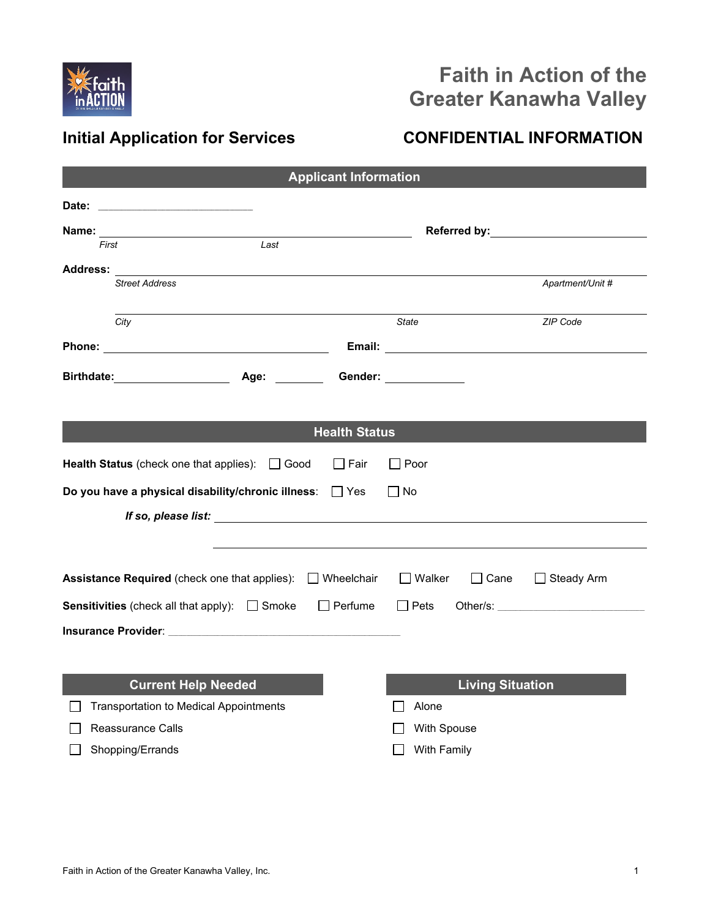

# **Faith in Action of the Greater Kanawha Valley**

## **Initial Application for Services CONFIDENTIAL INFORMATION**

| <b>Applicant Information</b> |                                                                                                                |                                                                    |  |  |
|------------------------------|----------------------------------------------------------------------------------------------------------------|--------------------------------------------------------------------|--|--|
|                              |                                                                                                                |                                                                    |  |  |
|                              |                                                                                                                |                                                                    |  |  |
| First                        | Last                                                                                                           |                                                                    |  |  |
| <b>Address:</b>              |                                                                                                                |                                                                    |  |  |
|                              | <b>Street Address</b>                                                                                          | Apartment/Unit #                                                   |  |  |
|                              | City                                                                                                           | <b>State</b><br>ZIP Code                                           |  |  |
|                              |                                                                                                                |                                                                    |  |  |
|                              | Birthdate: Age: Gender: Communication                                                                          |                                                                    |  |  |
|                              |                                                                                                                |                                                                    |  |  |
|                              | <b>Health Status</b>                                                                                           |                                                                    |  |  |
|                              | <b>Health Status</b> (check one that applies): $\Box$ Good<br>∣ I Fair                                         | $\Box$ Poor                                                        |  |  |
|                              | Do you have a physical disability/chronic illness:<br>$\Box$ Yes                                               | No                                                                 |  |  |
|                              |                                                                                                                |                                                                    |  |  |
|                              |                                                                                                                |                                                                    |  |  |
|                              | <b>Assistance Required</b> (check one that applies): □ Wheelchair                                              | $\bigsqcup$ Walker<br>$\mathrel{\sqcup}$ Cane<br>$\Box$ Steady Arm |  |  |
|                              | <b>Sensitivities</b> (check all that apply): $\Box$ Smoke<br>$\Box$ Perfume                                    | $\Box$ Pets                                                        |  |  |
|                              | Insurance Provider: with a state of the control of the control of the control of the control of the control of |                                                                    |  |  |
|                              |                                                                                                                |                                                                    |  |  |
|                              |                                                                                                                |                                                                    |  |  |
|                              | <b>Current Help Needed</b>                                                                                     | <b>Living Situation</b>                                            |  |  |
|                              | <b>Transportation to Medical Appointments</b>                                                                  | Alone                                                              |  |  |
|                              | <b>Reassurance Calls</b>                                                                                       | With Spouse                                                        |  |  |
|                              | Shopping/Errands                                                                                               | With Family                                                        |  |  |